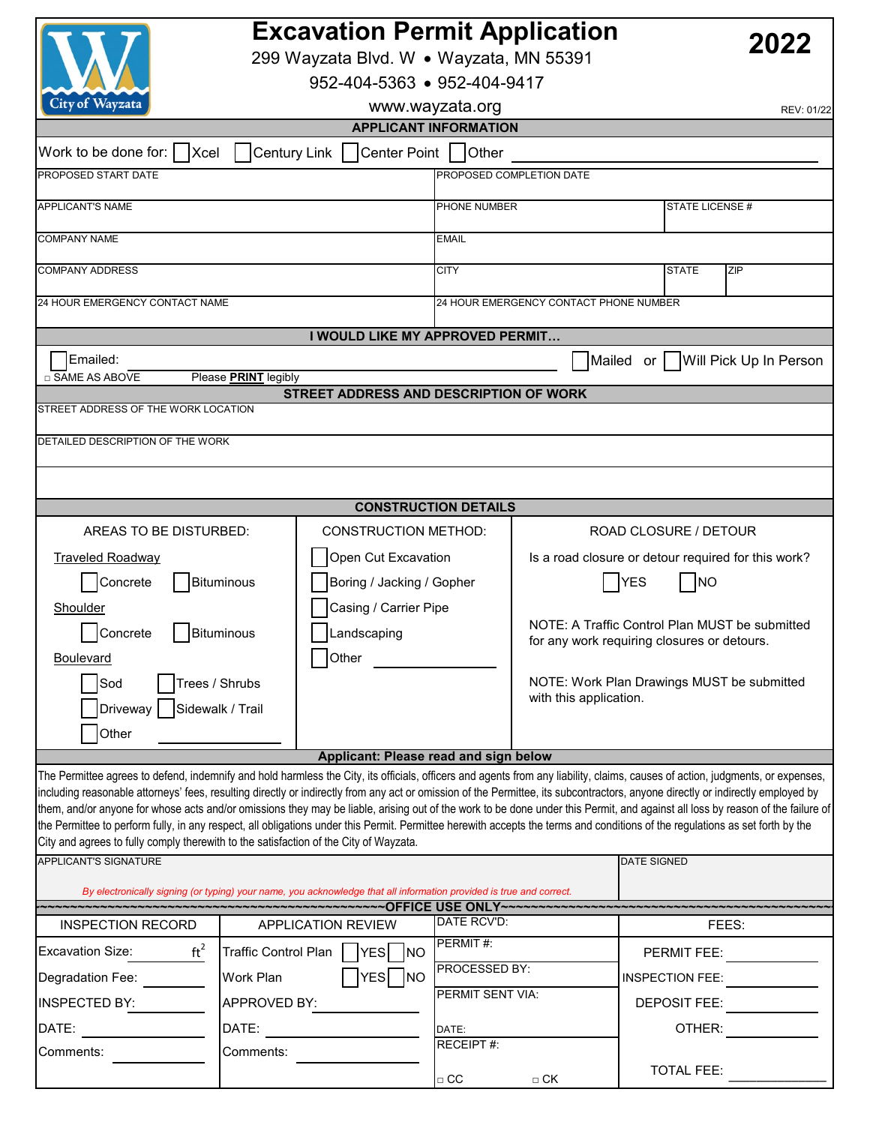|                                                                                                                                                                                                                                                                                                                                                                                                                                                                                                                                                                                                                                                                                                                                                                                                                               | <b>Excavation Permit Application</b><br>2022<br>299 Wayzata Blvd. W · Wayzata, MN 55391<br>952-404-5363 • 952-404-9417 |                                           |                                            |                                                     |                                                                                               |  |  |  |
|-------------------------------------------------------------------------------------------------------------------------------------------------------------------------------------------------------------------------------------------------------------------------------------------------------------------------------------------------------------------------------------------------------------------------------------------------------------------------------------------------------------------------------------------------------------------------------------------------------------------------------------------------------------------------------------------------------------------------------------------------------------------------------------------------------------------------------|------------------------------------------------------------------------------------------------------------------------|-------------------------------------------|--------------------------------------------|-----------------------------------------------------|-----------------------------------------------------------------------------------------------|--|--|--|
| City of Wayzata<br>www.wayzata.org<br>REV: 01/22                                                                                                                                                                                                                                                                                                                                                                                                                                                                                                                                                                                                                                                                                                                                                                              |                                                                                                                        |                                           |                                            |                                                     |                                                                                               |  |  |  |
| <b>APPLICANT INFORMATION</b>                                                                                                                                                                                                                                                                                                                                                                                                                                                                                                                                                                                                                                                                                                                                                                                                  |                                                                                                                        |                                           |                                            |                                                     |                                                                                               |  |  |  |
| Century Link   Center Point   Other<br>Work to be done for:<br>Xcel                                                                                                                                                                                                                                                                                                                                                                                                                                                                                                                                                                                                                                                                                                                                                           |                                                                                                                        |                                           |                                            |                                                     |                                                                                               |  |  |  |
| PROPOSED START DATE                                                                                                                                                                                                                                                                                                                                                                                                                                                                                                                                                                                                                                                                                                                                                                                                           |                                                                                                                        |                                           | PROPOSED COMPLETION DATE                   |                                                     |                                                                                               |  |  |  |
| <b>APPLICANT'S NAME</b>                                                                                                                                                                                                                                                                                                                                                                                                                                                                                                                                                                                                                                                                                                                                                                                                       |                                                                                                                        |                                           | PHONE NUMBER                               |                                                     | STATE LICENSE #                                                                               |  |  |  |
| <b>COMPANY NAME</b>                                                                                                                                                                                                                                                                                                                                                                                                                                                                                                                                                                                                                                                                                                                                                                                                           |                                                                                                                        |                                           | EMAIL                                      |                                                     |                                                                                               |  |  |  |
| <b>COMPANY ADDRESS</b>                                                                                                                                                                                                                                                                                                                                                                                                                                                                                                                                                                                                                                                                                                                                                                                                        |                                                                                                                        | <b>CITY</b><br><b>STATE</b><br><b>ZIP</b> |                                            |                                                     |                                                                                               |  |  |  |
|                                                                                                                                                                                                                                                                                                                                                                                                                                                                                                                                                                                                                                                                                                                                                                                                                               |                                                                                                                        |                                           |                                            |                                                     |                                                                                               |  |  |  |
| 24 HOUR EMERGENCY CONTACT NAME                                                                                                                                                                                                                                                                                                                                                                                                                                                                                                                                                                                                                                                                                                                                                                                                |                                                                                                                        | 24 HOUR EMERGENCY CONTACT PHONE NUMBER    |                                            |                                                     |                                                                                               |  |  |  |
| I WOULD LIKE MY APPROVED PERMIT                                                                                                                                                                                                                                                                                                                                                                                                                                                                                                                                                                                                                                                                                                                                                                                               |                                                                                                                        |                                           |                                            |                                                     |                                                                                               |  |  |  |
| Emailed:                                                                                                                                                                                                                                                                                                                                                                                                                                                                                                                                                                                                                                                                                                                                                                                                                      |                                                                                                                        |                                           |                                            |                                                     | Mailed or   Will Pick Up In Person                                                            |  |  |  |
| □ SAME AS ABOVE<br>Please <b>PRINT</b> legibly<br>STREET ADDRESS AND DESCRIPTION OF WORK                                                                                                                                                                                                                                                                                                                                                                                                                                                                                                                                                                                                                                                                                                                                      |                                                                                                                        |                                           |                                            |                                                     |                                                                                               |  |  |  |
| STREET ADDRESS OF THE WORK LOCATION                                                                                                                                                                                                                                                                                                                                                                                                                                                                                                                                                                                                                                                                                                                                                                                           |                                                                                                                        |                                           |                                            |                                                     |                                                                                               |  |  |  |
| DETAILED DESCRIPTION OF THE WORK                                                                                                                                                                                                                                                                                                                                                                                                                                                                                                                                                                                                                                                                                                                                                                                              |                                                                                                                        |                                           |                                            |                                                     |                                                                                               |  |  |  |
|                                                                                                                                                                                                                                                                                                                                                                                                                                                                                                                                                                                                                                                                                                                                                                                                                               |                                                                                                                        |                                           |                                            |                                                     |                                                                                               |  |  |  |
|                                                                                                                                                                                                                                                                                                                                                                                                                                                                                                                                                                                                                                                                                                                                                                                                                               |                                                                                                                        |                                           |                                            |                                                     |                                                                                               |  |  |  |
|                                                                                                                                                                                                                                                                                                                                                                                                                                                                                                                                                                                                                                                                                                                                                                                                                               |                                                                                                                        |                                           | <b>CONSTRUCTION DETAILS</b>                |                                                     |                                                                                               |  |  |  |
| AREAS TO BE DISTURBED:                                                                                                                                                                                                                                                                                                                                                                                                                                                                                                                                                                                                                                                                                                                                                                                                        |                                                                                                                        | <b>CONSTRUCTION METHOD:</b>               |                                            | ROAD CLOSURE / DETOUR                               |                                                                                               |  |  |  |
| <b>Traveled Roadway</b>                                                                                                                                                                                                                                                                                                                                                                                                                                                                                                                                                                                                                                                                                                                                                                                                       |                                                                                                                        | Open Cut Excavation                       |                                            | Is a road closure or detour required for this work? |                                                                                               |  |  |  |
| Concrete                                                                                                                                                                                                                                                                                                                                                                                                                                                                                                                                                                                                                                                                                                                                                                                                                      | <b>Bituminous</b>                                                                                                      |                                           | Boring / Jacking / Gopher                  |                                                     | <b>YES</b><br>N                                                                               |  |  |  |
| Shoulder                                                                                                                                                                                                                                                                                                                                                                                                                                                                                                                                                                                                                                                                                                                                                                                                                      |                                                                                                                        | Casing / Carrier Pipe                     |                                            |                                                     |                                                                                               |  |  |  |
| <b>Bituminous</b><br>Concrete                                                                                                                                                                                                                                                                                                                                                                                                                                                                                                                                                                                                                                                                                                                                                                                                 |                                                                                                                        | Landscaping                               |                                            |                                                     | NOTE: A Traffic Control Plan MUST be submitted<br>for any work requiring closures or detours. |  |  |  |
| <b>Boulevard</b>                                                                                                                                                                                                                                                                                                                                                                                                                                                                                                                                                                                                                                                                                                                                                                                                              |                                                                                                                        |                                           | Other                                      |                                                     |                                                                                               |  |  |  |
| Trees / Shrubs<br>Sod                                                                                                                                                                                                                                                                                                                                                                                                                                                                                                                                                                                                                                                                                                                                                                                                         |                                                                                                                        |                                           | NOTE: Work Plan Drawings MUST be submitted |                                                     |                                                                                               |  |  |  |
| Driveway   Sidewalk / Trail                                                                                                                                                                                                                                                                                                                                                                                                                                                                                                                                                                                                                                                                                                                                                                                                   |                                                                                                                        |                                           |                                            | with this application.                              |                                                                                               |  |  |  |
| Other                                                                                                                                                                                                                                                                                                                                                                                                                                                                                                                                                                                                                                                                                                                                                                                                                         |                                                                                                                        |                                           |                                            |                                                     |                                                                                               |  |  |  |
|                                                                                                                                                                                                                                                                                                                                                                                                                                                                                                                                                                                                                                                                                                                                                                                                                               |                                                                                                                        | Applicant: Please read and sign below     |                                            |                                                     |                                                                                               |  |  |  |
| The Permittee agrees to defend, indemnify and hold harmless the City, its officials, officers and agents from any liability, claims, causes of action, judgments, or expenses,<br>including reasonable attorneys' fees, resulting directly or indirectly from any act or omission of the Permittee, its subcontractors, anyone directly or indirectly employed by<br>them, and/or anyone for whose acts and/or omissions they may be liable, arising out of the work to be done under this Permit, and against all loss by reason of the failure of<br>the Permittee to perform fully, in any respect, all obligations under this Permit. Permittee herewith accepts the terms and conditions of the regulations as set forth by the<br>City and agrees to fully comply therewith to the satisfaction of the City of Wayzata. |                                                                                                                        |                                           |                                            |                                                     |                                                                                               |  |  |  |
| APPLICANT'S SIGNATURE                                                                                                                                                                                                                                                                                                                                                                                                                                                                                                                                                                                                                                                                                                                                                                                                         |                                                                                                                        |                                           |                                            |                                                     | <b>DATE SIGNED</b>                                                                            |  |  |  |
| By electronically signing (or typing) your name, you acknowledge that all information provided is true and correct.                                                                                                                                                                                                                                                                                                                                                                                                                                                                                                                                                                                                                                                                                                           |                                                                                                                        |                                           |                                            |                                                     |                                                                                               |  |  |  |
| <b>INSPECTION RECORD</b>                                                                                                                                                                                                                                                                                                                                                                                                                                                                                                                                                                                                                                                                                                                                                                                                      | <b>APPLICATION REVIEW</b>                                                                                              |                                           |                                            |                                                     | FEES:                                                                                         |  |  |  |
| $ft^2$<br><b>Excavation Size:</b>                                                                                                                                                                                                                                                                                                                                                                                                                                                                                                                                                                                                                                                                                                                                                                                             |                                                                                                                        |                                           | DATE RCV'D:<br>PERMIT#:                    |                                                     |                                                                                               |  |  |  |
|                                                                                                                                                                                                                                                                                                                                                                                                                                                                                                                                                                                                                                                                                                                                                                                                                               | <b>Traffic Control Plan</b>                                                                                            | YES NO                                    | PROCESSED BY:                              |                                                     | PERMIT FEE:                                                                                   |  |  |  |
| Degradation Fee:                                                                                                                                                                                                                                                                                                                                                                                                                                                                                                                                                                                                                                                                                                                                                                                                              | Work Plan                                                                                                              | YES NO                                    | PERMIT SENT VIA:                           |                                                     | <b>INSPECTION FEE:</b>                                                                        |  |  |  |
| INSPECTED BY:                                                                                                                                                                                                                                                                                                                                                                                                                                                                                                                                                                                                                                                                                                                                                                                                                 | APPROVED BY:                                                                                                           |                                           | DATE:                                      |                                                     | <b>DEPOSIT FEE:</b>                                                                           |  |  |  |
| DATE:                                                                                                                                                                                                                                                                                                                                                                                                                                                                                                                                                                                                                                                                                                                                                                                                                         | DATE:                                                                                                                  |                                           |                                            |                                                     | OTHER:                                                                                        |  |  |  |
| Comments:<br>Comments:                                                                                                                                                                                                                                                                                                                                                                                                                                                                                                                                                                                                                                                                                                                                                                                                        |                                                                                                                        |                                           | RECEIPT #:<br>$\Box$ CC                    | $\Box$ CK                                           | TOTAL FEE:                                                                                    |  |  |  |